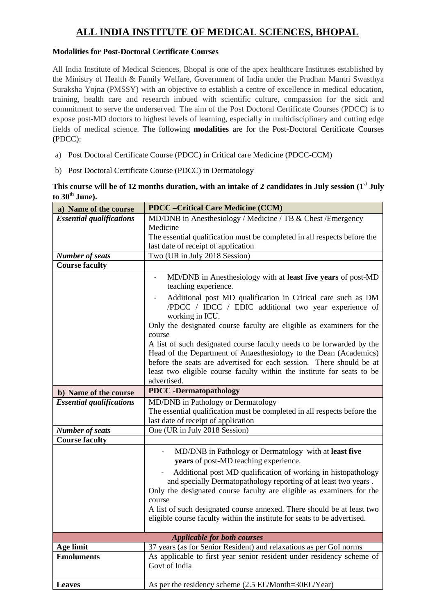## **ALL INDIA INSTITUTE OF MEDICAL SCIENCES, BHOPAL**

## **Modalities for Post-Doctoral Certificate Courses**

All India Institute of Medical Sciences, Bhopal is one of the apex healthcare Institutes established by the Ministry of Health & Family Welfare, Government of India under the Pradhan Mantri Swasthya Suraksha Yojna (PMSSY) with an objective to establish a centre of excellence in medical education, training, health care and research imbued with scientific culture, compassion for the sick and commitment to serve the underserved. The aim of the Post Doctoral Certificate Courses (PDCC) is to expose post-MD doctors to highest levels of learning, especially in multidisciplinary and cutting edge fields of medical science. The following **modalities** are for the Post-Doctoral Certificate Courses (PDCC):

- a) Post Doctoral Certificate Course (PDCC) in Critical care Medicine (PDCC-CCM)
- b) Post Doctoral Certificate Course (PDCC) in Dermatology

|                  | This course will be of 12 months duration, with an intake of 2 candidates in July session (1 <sup>st</sup> July |  |  |
|------------------|-----------------------------------------------------------------------------------------------------------------|--|--|
| to $30th$ June). |                                                                                                                 |  |  |

| a) Name of the course           | <b>PDCC</b> - Critical Care Medicine (CCM)                                                                                                                                                                                                                                                   |
|---------------------------------|----------------------------------------------------------------------------------------------------------------------------------------------------------------------------------------------------------------------------------------------------------------------------------------------|
| <b>Essential qualifications</b> | MD/DNB in Anesthesiology / Medicine / TB & Chest / Emergency                                                                                                                                                                                                                                 |
|                                 | Medicine                                                                                                                                                                                                                                                                                     |
|                                 | The essential qualification must be completed in all respects before the                                                                                                                                                                                                                     |
|                                 | last date of receipt of application                                                                                                                                                                                                                                                          |
| <b>Number of seats</b>          | Two (UR in July 2018 Session)                                                                                                                                                                                                                                                                |
| <b>Course faculty</b>           |                                                                                                                                                                                                                                                                                              |
|                                 | MD/DNB in Anesthesiology with at least five years of post-MD<br>teaching experience.                                                                                                                                                                                                         |
|                                 | Additional post MD qualification in Critical care such as DM<br>/PDCC / IDCC / EDIC additional two year experience of<br>working in ICU.                                                                                                                                                     |
|                                 | Only the designated course faculty are eligible as examiners for the<br>course                                                                                                                                                                                                               |
|                                 | A list of such designated course faculty needs to be forwarded by the<br>Head of the Department of Anaesthesiology to the Dean (Academics)<br>before the seats are advertised for each session. There should be at<br>least two eligible course faculty within the institute for seats to be |
|                                 | advertised.                                                                                                                                                                                                                                                                                  |
| b) Name of the course           | <b>PDCC</b> -Dermatopathology                                                                                                                                                                                                                                                                |
|                                 |                                                                                                                                                                                                                                                                                              |
| <b>Essential qualifications</b> | MD/DNB in Pathology or Dermatology                                                                                                                                                                                                                                                           |
|                                 | The essential qualification must be completed in all respects before the                                                                                                                                                                                                                     |
|                                 | last date of receipt of application                                                                                                                                                                                                                                                          |
| <b>Number of seats</b>          | One (UR in July 2018 Session)                                                                                                                                                                                                                                                                |
| <b>Course faculty</b>           |                                                                                                                                                                                                                                                                                              |
|                                 | MD/DNB in Pathology or Dermatology with at least five<br>years of post-MD teaching experience.                                                                                                                                                                                               |
|                                 | Additional post MD qualification of working in histopathology<br>and specially Dermatopathology reporting of at least two years.<br>Only the designated course faculty are eligible as examiners for the<br>course                                                                           |
|                                 | A list of such designated course annexed. There should be at least two<br>eligible course faculty within the institute for seats to be advertised.                                                                                                                                           |
|                                 |                                                                                                                                                                                                                                                                                              |
| <b>Age limit</b>                | <b>Applicable for both courses</b><br>37 years (as for Senior Resident) and relaxations as per GoI norms                                                                                                                                                                                     |
| <b>Emoluments</b>               | As applicable to first year senior resident under residency scheme of                                                                                                                                                                                                                        |
|                                 | Govt of India                                                                                                                                                                                                                                                                                |
| <b>Leaves</b>                   | As per the residency scheme (2.5 EL/Month=30EL/Year)                                                                                                                                                                                                                                         |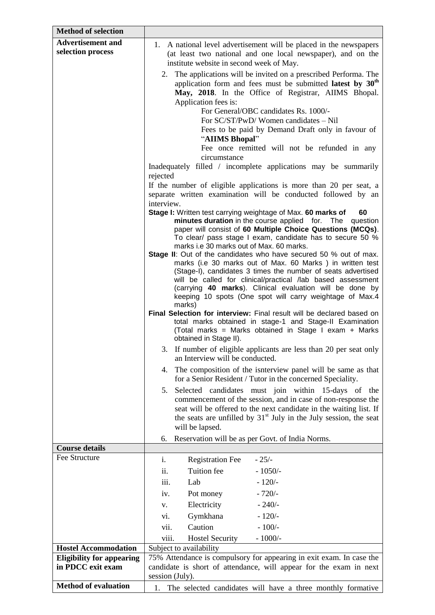| <b>Method of selection</b>       |                                                                                                                         |  |  |  |
|----------------------------------|-------------------------------------------------------------------------------------------------------------------------|--|--|--|
| <b>Advertisement and</b>         | 1. A national level advertisement will be placed in the newspapers                                                      |  |  |  |
| selection process                | (at least two national and one local newspaper), and on the                                                             |  |  |  |
|                                  | institute website in second week of May.                                                                                |  |  |  |
|                                  | 2. The applications will be invited on a prescribed Performa. The                                                       |  |  |  |
|                                  | application form and fees must be submitted latest by 30 <sup>th</sup>                                                  |  |  |  |
|                                  | May, 2018. In the Office of Registrar, AIIMS Bhopal.                                                                    |  |  |  |
|                                  | Application fees is:                                                                                                    |  |  |  |
|                                  | For General/OBC candidates Rs. 1000/-                                                                                   |  |  |  |
|                                  | For SC/ST/PwD/Women candidates - Nil                                                                                    |  |  |  |
|                                  | Fees to be paid by Demand Draft only in favour of                                                                       |  |  |  |
|                                  | "AIIMS Bhopal"<br>Fee once remitted will not be refunded in any                                                         |  |  |  |
|                                  | circumstance                                                                                                            |  |  |  |
|                                  | Inadequately filled / incomplete applications may be summarily                                                          |  |  |  |
|                                  | rejected                                                                                                                |  |  |  |
|                                  | If the number of eligible applications is more than 20 per seat, a                                                      |  |  |  |
|                                  | separate written examination will be conducted followed by an                                                           |  |  |  |
|                                  | interview.                                                                                                              |  |  |  |
|                                  | Stage I: Written test carrying weightage of Max. 60 marks of<br>60                                                      |  |  |  |
|                                  | minutes duration in the course applied for. The<br>question                                                             |  |  |  |
|                                  | paper will consist of 60 Multiple Choice Questions (MCQs).<br>To clear/ pass stage I exam, candidate has to secure 50 % |  |  |  |
|                                  | marks i.e 30 marks out of Max. 60 marks.                                                                                |  |  |  |
|                                  | Stage II: Out of the candidates who have secured 50 % out of max.                                                       |  |  |  |
|                                  | marks (i.e 30 marks out of Max. 60 Marks) in written test                                                               |  |  |  |
|                                  | (Stage-I), candidates 3 times the number of seats advertised                                                            |  |  |  |
|                                  | will be called for clinical/practical /lab based assessment<br>(carrying 40 marks). Clinical evaluation will be done by |  |  |  |
|                                  | keeping 10 spots (One spot will carry weightage of Max.4                                                                |  |  |  |
|                                  | marks)                                                                                                                  |  |  |  |
|                                  | Final Selection for interview: Final result will be declared based on                                                   |  |  |  |
|                                  | total marks obtained in stage-1 and Stage-II Examination                                                                |  |  |  |
|                                  | (Total marks = Marks obtained in Stage I exam + Marks<br>obtained in Stage II).                                         |  |  |  |
|                                  |                                                                                                                         |  |  |  |
|                                  | 3. If number of eligible applicants are less than 20 per seat only<br>an Interview will be conducted.                   |  |  |  |
|                                  | The composition of the isnterview panel will be same as that<br>4.                                                      |  |  |  |
|                                  | for a Senior Resident / Tutor in the concerned Speciality.                                                              |  |  |  |
|                                  | Selected candidates must join within 15-days of the<br>5.                                                               |  |  |  |
|                                  | commencement of the session, and in case of non-response the                                                            |  |  |  |
|                                  | seat will be offered to the next candidate in the waiting list. If                                                      |  |  |  |
|                                  | the seats are unfilled by 31 <sup>st</sup> July in the July session, the seat                                           |  |  |  |
|                                  | will be lapsed.                                                                                                         |  |  |  |
| <b>Course details</b>            | Reservation will be as per Govt. of India Norms.<br>6.                                                                  |  |  |  |
| Fee Structure                    | i.<br>$-25/$                                                                                                            |  |  |  |
|                                  | <b>Registration Fee</b>                                                                                                 |  |  |  |
|                                  | Tuition fee<br>ii.<br>$-1050/-$                                                                                         |  |  |  |
|                                  | Lab<br>$-120/-$<br>iii.                                                                                                 |  |  |  |
|                                  | $-720/-$<br>Pot money<br>iv.                                                                                            |  |  |  |
|                                  | Electricity<br>$-240/$<br>V.                                                                                            |  |  |  |
|                                  | Gymkhana<br>$-120/-$<br>vi.                                                                                             |  |  |  |
|                                  | vii.<br>Caution<br>$-100/-$                                                                                             |  |  |  |
|                                  | viii.<br>$-1000/-$<br><b>Hostel Security</b>                                                                            |  |  |  |
| <b>Hostel Accommodation</b>      | Subject to availability                                                                                                 |  |  |  |
| <b>Eligibility for appearing</b> | 75% Attendance is compulsory for appearing in exit exam. In case the                                                    |  |  |  |
| in PDCC exit exam                | candidate is short of attendance, will appear for the exam in next                                                      |  |  |  |
|                                  | session (July).                                                                                                         |  |  |  |
| <b>Method of evaluation</b>      | 1. The selected candidates will have a three monthly formative                                                          |  |  |  |